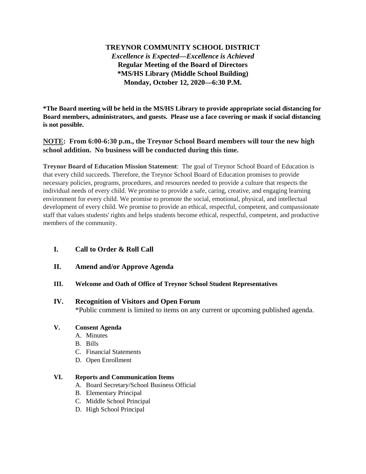# **TREYNOR COMMUNITY SCHOOL DISTRICT** *Excellence is Expected—Excellence is Achieved* **Regular Meeting of the Board of Directors \*MS/HS Library (Middle School Building) Monday, October 12, 2020—6:30 P.M.**

**\*The Board meeting will be held in the MS/HS Library to provide appropriate social distancing for Board members, administrators, and guests. Please use a face covering or mask if social distancing is not possible.**

## **NOTE: From 6:00-6:30 p.m., the Treynor School Board members will tour the new high school addition. No business will be conducted during this time.**

**Treynor Board of Education Mission Statement**: The goal of Treynor School Board of Education is that every child succeeds. Therefore, the Treynor School Board of Education promises to provide necessary policies, programs, procedures, and resources needed to provide a culture that respects the individual needs of every child. We promise to provide a safe, caring, creative, and engaging learning environment for every child. We promise to promote the social, emotional, physical, and intellectual development of every child. We promise to provide an ethical, respectful, competent, and compassionate staff that values students' rights and helps students become ethical, respectful, competent, and productive members of the community.

## **I. Call to Order & Roll Call**

**II. Amend and/or Approve Agenda**

## **III. Welcome and Oath of Office of Treynor School Student Representatives**

## **IV. Recognition of Visitors and Open Forum**

\*Public comment is limited to items on any current or upcoming published agenda.

## **V. Consent Agenda**

- A. Minutes
- B. Bills
- C. Financial Statements
- D. Open Enrollment

## **VI. Reports and Communication Items**

- A. Board Secretary/School Business Official
- B. Elementary Principal
- C. Middle School Principal
- D. High School Principal